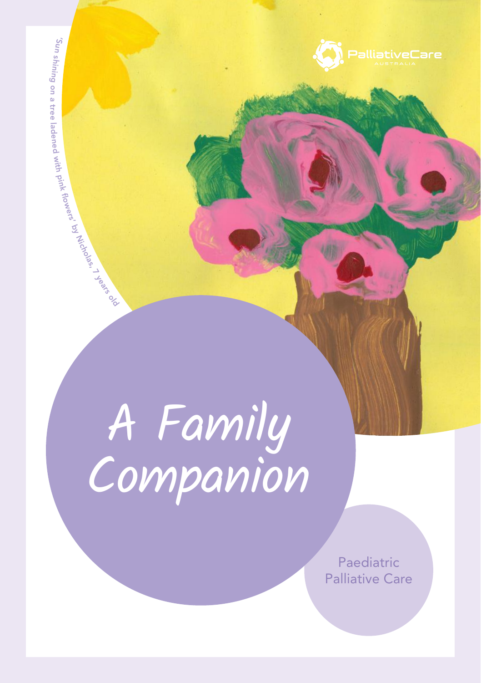

by

Nicholas, 7

years %<br>



Paediatric Palliative Care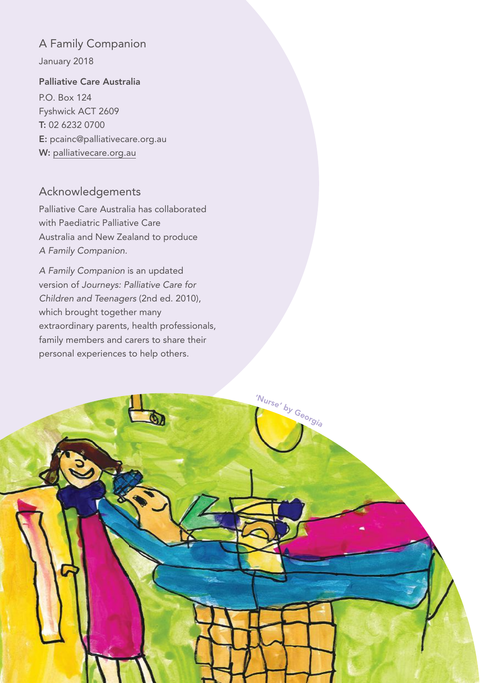## A Family Companion

January 2018

#### Palliative Care Australia

P.O. Box 124 Fyshwick ACT 2609 T: 02 6232 0700 E: pcainc@palliativecare.org.au W: palliativecare.org.au

### Acknowledgements

Palliative Care Australia has collaborated with Paediatric Palliative Care Australia and New Zealand to produce *A Family Companion.* 

*A Family Companion* is an updated version of *Journeys: Palliative Care for Children and Teenagers* (2nd ed. 2010), which brought together many extraordinary parents, health professionals, family members and carers to share their personal experiences to help others.

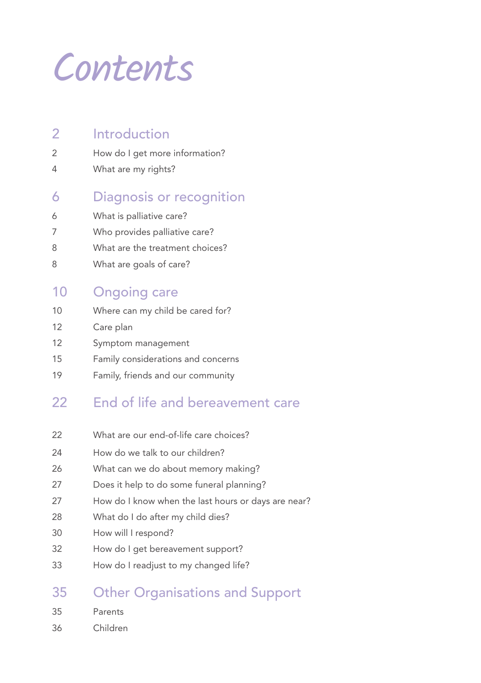Contents

| 2 | Introduction |
|---|--------------|
|   |              |

- How do I get more information?
- What are my rights?
- Diagnosis or recognition
- What is palliative care?
- Who provides palliative care?
- What are the treatment choices?
- What are goals of care?

# Ongoing care

- 10 Where can my child be cared for?
- Care plan
- Symptom management
- Family considerations and concerns
- Family, friends and our community

# 22 End of life and bereavement care

- 22 What are our end-of-life care choices?
- How do we talk to our children?
- What can we do about memory making?
- Does it help to do some funeral planning?
- How do I know when the last hours or days are near?
- 28 What do I do after my child dies?
- How will I respond?
- How do I get bereavement support?
- How do I readjust to my changed life?

# Other Organisations and Support

- Parents
- Children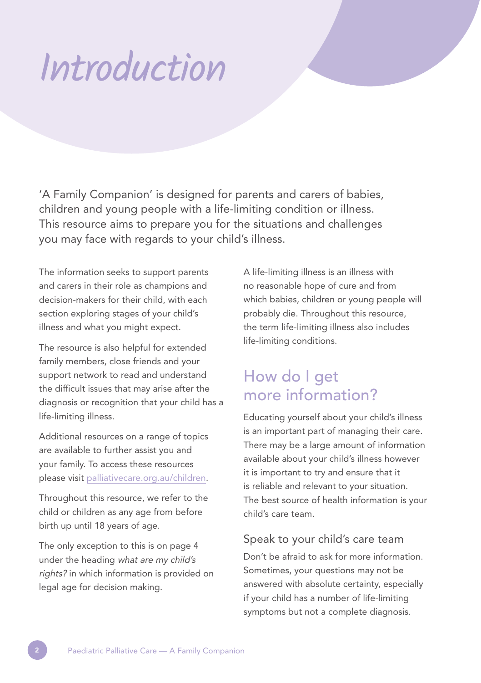# Introduction

'A Family Companion' is designed for parents and carers of babies, children and young people with a life-limiting condition or illness. This resource aims to prepare you for the situations and challenges you may face with regards to your child's illness.

The information seeks to support parents and carers in their role as champions and decision-makers for their child, with each section exploring stages of your child's illness and what you might expect.

The resource is also helpful for extended family members, close friends and your support network to read and understand the difficult issues that may arise after the diagnosis or recognition that your child has a life-limiting illness.

Additional resources on a range of topics are available to further assist you and your family. To access these resources please visit palliativecare.org.au/children.

Throughout this resource, we refer to the child or children as any age from before birth up until 18 years of age.

The only exception to this is on page 4 under the heading what are my child's rights? in which information is provided on legal age for decision making.

A life-limiting illness is an illness with no reasonable hope of cure and from which babies, children or young people will probably die. Throughout this resource, the term life-limiting illness also includes life-limiting conditions.

# How do I get more information?

Educating yourself about your child's illness is an important part of managing their care. There may be a large amount of information available about your child's illness however it is important to try and ensure that it is reliable and relevant to your situation. The best source of health information is your child's care team.

#### Speak to your child's care team

Don't be afraid to ask for more information. Sometimes, your questions may not be answered with absolute certainty, especially if your child has a number of life-limiting symptoms but not a complete diagnosis.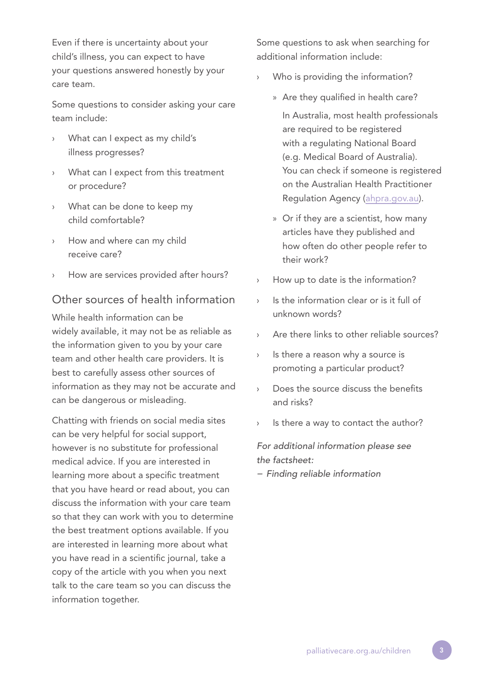Even if there is uncertainty about your child's illness, you can expect to have your questions answered honestly by your care team.

Some questions to consider asking your care team include:

- What can I expect as my child's illness progresses?
- What can I expect from this treatment or procedure?
- What can be done to keep my child comfortable?
- How and where can my child receive care?
- How are services provided after hours?

### Other sources of health information

While health information can be widely available, it may not be as reliable as the information given to you by your care team and other health care providers. It is best to carefully assess other sources of information as they may not be accurate and can be dangerous or misleading.

Chatting with friends on social media sites can be very helpful for social support, however is no substitute for professional medical advice. If you are interested in learning more about a specific treatment that you have heard or read about, you can discuss the information with your care team so that they can work with you to determine the best treatment options available. If you are interested in learning more about what you have read in a scientific journal, take a copy of the article with you when you next talk to the care team so you can discuss the information together.

Some questions to ask when searching for additional information include:

- Who is providing the information?
	- » Are they qualified in health care?

In Australia, most health professionals are required to be registered with a regulating National Board (e.g. Medical Board of Australia). You can check if someone is registered on the Australian Health Practitioner Regulation Agency (ahpra.gov.au).

- » Or if they are a scientist, how many articles have they published and how often do other people refer to their work?
- How up to date is the information?
- Is the information clear or is it full of unknown words?
- Are there links to other reliable sources?
- › Is there a reason why a source is promoting a particular product?
- › Does the source discuss the benefits and risks?
- Is there a way to contact the author?

*For additional information please see the factsheet:*

*− Finding reliable information*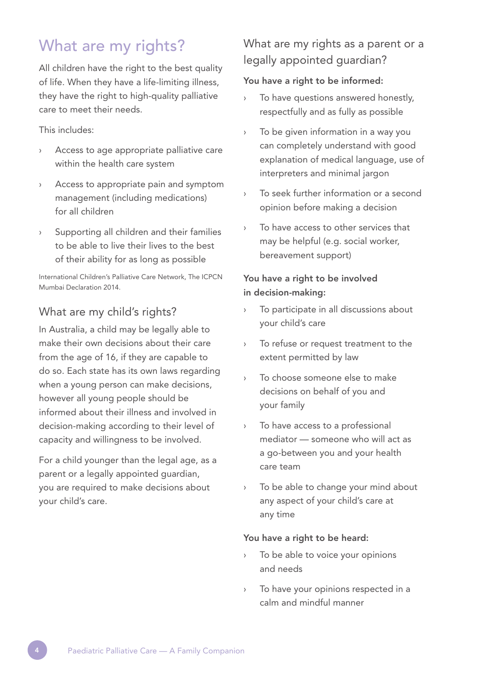# What are my rights?

All children have the right to the best quality of life. When they have a life-limiting illness, they have the right to high-quality palliative care to meet their needs.

#### This includes:

- › Access to age appropriate palliative care within the health care system
- › Access to appropriate pain and symptom management (including medications) for all children
- Supporting all children and their families to be able to live their lives to the best of their ability for as long as possible

International Children's Palliative Care Network, The ICPCN Mumbai Declaration 2014.

### What are my child's rights?

In Australia, a child may be legally able to make their own decisions about their care from the age of 16, if they are capable to do so. Each state has its own laws regarding when a young person can make decisions, however all young people should be informed about their illness and involved in decision-making according to their level of capacity and willingness to be involved.

For a child younger than the legal age, as a parent or a legally appointed quardian, you are required to make decisions about your child's care.

## What are my rights as a parent or a legally appointed guardian?

#### You have a right to be informed:

- To have questions answered honestly, respectfully and as fully as possible
- › To be given information in a way you can completely understand with good explanation of medical language, use of interpreters and minimal jargon
- › To seek further information or a second opinion before making a decision
- To have access to other services that may be helpful (e.g. social worker, bereavement support)

#### You have a right to be involved in decision-making:

- To participate in all discussions about your child's care
- › To refuse or request treatment to the extent permitted by law
- › To choose someone else to make decisions on behalf of you and your family
- › To have access to a professional mediator — someone who will act as a go-between you and your health care team
- › To be able to change your mind about any aspect of your child's care at any time

#### You have a right to be heard:

- To be able to voice your opinions and needs
- To have your opinions respected in a calm and mindful manner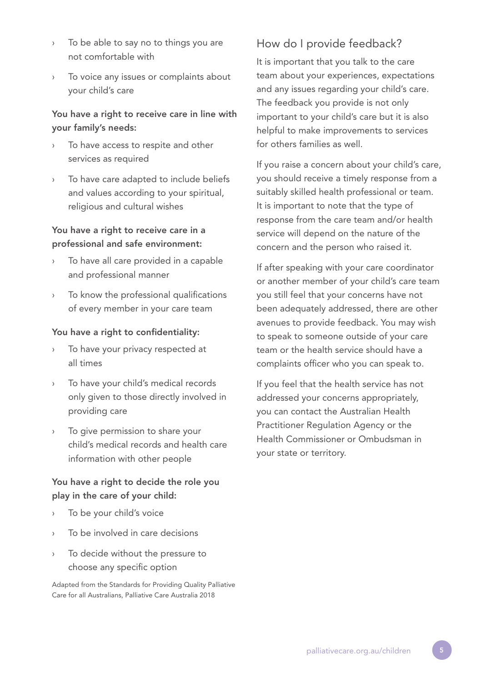- › To be able to say no to things you are not comfortable with
- To voice any issues or complaints about your child's care

#### You have a right to receive care in line with your family's needs:

- To have access to respite and other services as required
- To have care adapted to include beliefs and values according to your spiritual, religious and cultural wishes

#### You have a right to receive care in a professional and safe environment:

- To have all care provided in a capable and professional manner
- › To know the professional qualifications of every member in your care team

#### You have a right to confidentiality:

- To have your privacy respected at all times
- To have your child's medical records only given to those directly involved in providing care
- To give permission to share your child's medical records and health care information with other people

#### You have a right to decide the role you play in the care of your child:

- To be your child's voice
- To be involved in care decisions
- To decide without the pressure to choose any specific option

Adapted from the Standards for Providing Quality Palliative Care for all Australians, Palliative Care Australia 2018

## How do I provide feedback?

It is important that you talk to the care team about your experiences, expectations and any issues regarding your child's care. The feedback you provide is not only important to your child's care but it is also helpful to make improvements to services for others families as well.

If you raise a concern about your child's care, you should receive a timely response from a suitably skilled health professional or team. It is important to note that the type of response from the care team and/or health service will depend on the nature of the concern and the person who raised it.

If after speaking with your care coordinator or another member of your child's care team you still feel that your concerns have not been adequately addressed, there are other avenues to provide feedback. You may wish to speak to someone outside of your care team or the health service should have a complaints officer who you can speak to.

If you feel that the health service has not addressed your concerns appropriately, you can contact the Australian Health Practitioner Regulation Agency or the Health Commissioner or Ombudsman in your state or territory.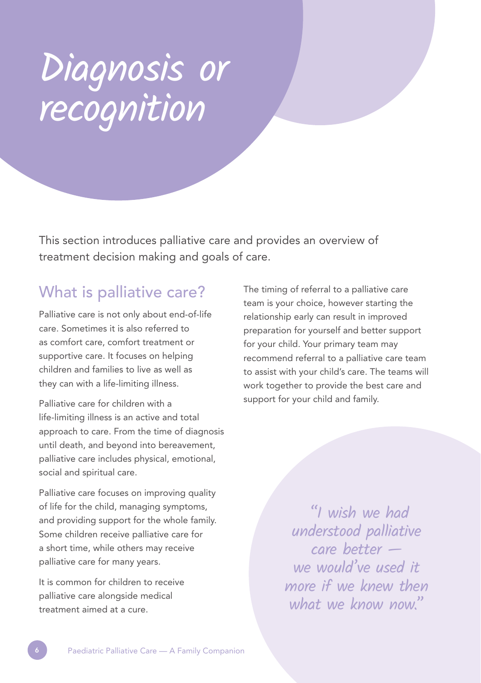# Diagnosis or recognition

This section introduces palliative care and provides an overview of treatment decision making and goals of care.

# What is palliative care?

Palliative care is not only about end-of-life care. Sometimes it is also referred to as comfort care, comfort treatment or supportive care. It focuses on helping children and families to live as well as they can with a life-limiting illness.

Palliative care for children with a life-limiting illness is an active and total approach to care. From the time of diagnosis until death, and beyond into bereavement, palliative care includes physical, emotional, social and spiritual care.

Palliative care focuses on improving quality of life for the child, managing symptoms, and providing support for the whole family. Some children receive palliative care for a short time, while others may receive palliative care for many years.

It is common for children to receive palliative care alongside medical treatment aimed at a cure.

The timing of referral to a palliative care team is your choice, however starting the relationship early can result in improved preparation for yourself and better support for your child. Your primary team may recommend referral to a palliative care team to assist with your child's care. The teams will work together to provide the best care and support for your child and family.

> "I wish we had understood palliative care better we would've used it more if we knew then what we know now."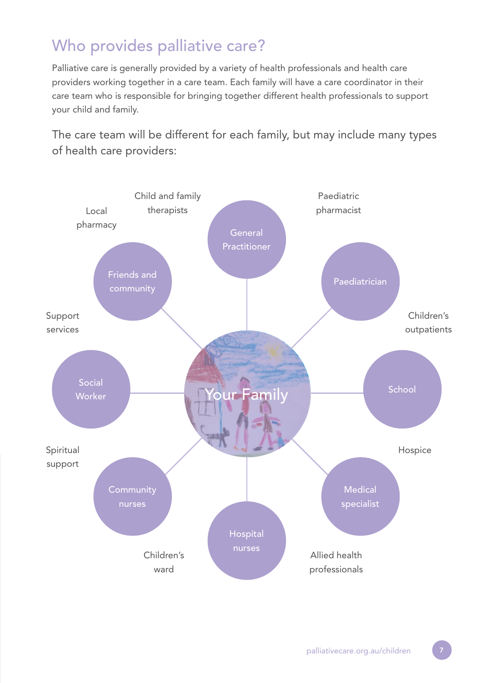# Who provides palliative care?

Palliative care is generally provided by a variety of health professionals and health care providers working together in a care team. Each family will have a care coordinator in their care team who is responsible for bringing together different health professionals to support your child and family.

The care team will be different for each family, but may include many types of health care providers:

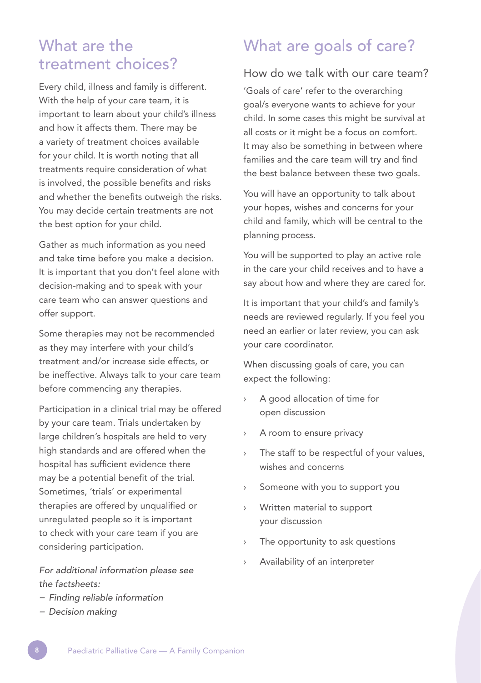# What are the treatment choices?

Every child, illness and family is different. With the help of your care team, it is important to learn about your child's illness and how it affects them. There may be a variety of treatment choices available for your child. It is worth noting that all treatments require consideration of what is involved, the possible benefits and risks and whether the benefits outweigh the risks. You may decide certain treatments are not the best option for your child.

Gather as much information as you need and take time before you make a decision. It is important that you don't feel alone with decision-making and to speak with your care team who can answer questions and offer support.

Some therapies may not be recommended as they may interfere with your child's treatment and/or increase side effects, or be ineffective. Always talk to your care team before commencing any therapies.

Participation in a clinical trial may be offered by your care team. Trials undertaken by large children's hospitals are held to very high standards and are offered when the hospital has sufficient evidence there may be a potential benefit of the trial. Sometimes, 'trials' or experimental therapies are offered by unqualified or unregulated people so it is important to check with your care team if you are considering participation.

*For additional information please see the factsheets:*

- *− Finding reliable information*
- *− Decision making*

# What are goals of care?

#### How do we talk with our care team?

'Goals of care' refer to the overarching goal/s everyone wants to achieve for your child. In some cases this might be survival at all costs or it might be a focus on comfort. It may also be something in between where families and the care team will try and find the best balance between these two goals.

You will have an opportunity to talk about your hopes, wishes and concerns for your child and family, which will be central to the planning process.

You will be supported to play an active role in the care your child receives and to have a say about how and where they are cared for.

It is important that your child's and family's needs are reviewed regularly. If you feel you need an earlier or later review, you can ask your care coordinator.

When discussing goals of care, you can expect the following:

- A good allocation of time for open discussion
- › A room to ensure privacy
- The staff to be respectful of your values, wishes and concerns
- › Someone with you to support you
- › Written material to support your discussion
- The opportunity to ask questions
- Availability of an interpreter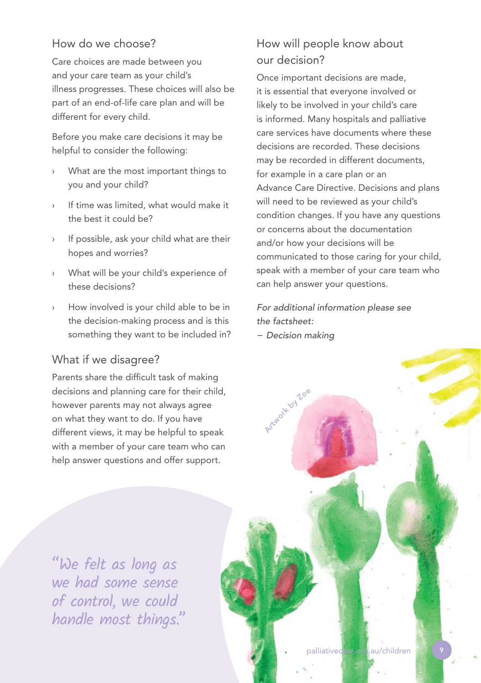### How do we choose?

Care choices are made between you and your care team as your child's illness progresses. These choices will also be part of an end-of-life care plan and will be different for every child.

Before you make care decisions it may be helpful to consider the following:

- What are the most important things to you and your child?
- If time was limited, what would make it the best it could be?
- If possible, ask your child what are their hopes and worries?
- What will be your child's experience of these decisions?
- How involved is your child able to be in the decision-making process and is this something they want to be included in?

## What if we disagree?

Parents share the difficult task of making decisions and planning care for their child, however parents may not always agree on what they want to do. If you have different views, it may be helpful to speak with a member of your care team who can help answer questions and offer support.

# How will people know about our decision?

Once important decisions are made, it is essential that everyone involved or likely to be involved in your child's care is informed. Many hospitals and palliative care services have documents where these decisions are recorded. These decisions may be recorded in different documents, for example in a care plan or an Advance Care Directive. Decisions and plans will need to be reviewed as your child's condition changes. If you have any questions or concerns about the documentation and/or how your decisions will be communicated to those caring for your child, speak with a member of your care team who can help answer your questions.

*For additional information please see the factsheet:* 

*− Decision making*



"We felt as long as we had some sense of control, we could handle most things."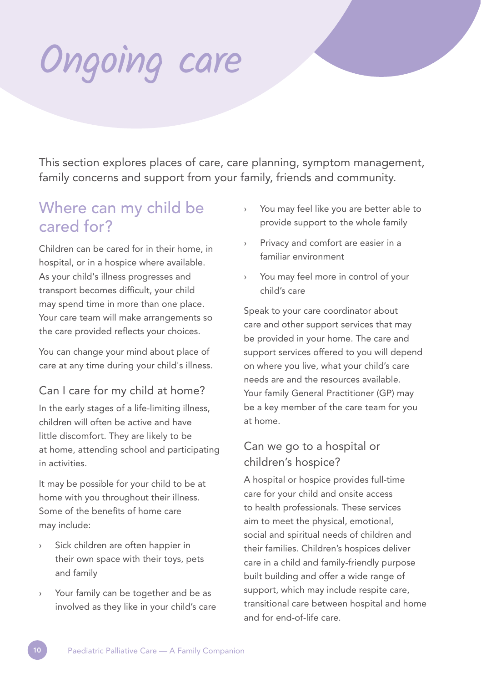# Ongoing care

This section explores places of care, care planning, symptom management, family concerns and support from your family, friends and community.

# Where can my child be cared for?

Children can be cared for in their home, in hospital, or in a hospice where available. As your child's illness progresses and transport becomes difficult, your child may spend time in more than one place. Your care team will make arrangements so the care provided reflects your choices.

You can change your mind about place of care at any time during your child's illness.

# Can I care for my child at home?

In the early stages of a life-limiting illness, children will often be active and have little discomfort. They are likely to be at home, attending school and participating in activities.

It may be possible for your child to be at home with you throughout their illness. Some of the benefits of home care may include:

- Sick children are often happier in their own space with their toys, pets and family
- Your family can be together and be as involved as they like in your child's care
- › You may feel like you are better able to provide support to the whole family
- › Privacy and comfort are easier in a familiar environment
- › You may feel more in control of your child's care

Speak to your care coordinator about care and other support services that may be provided in your home. The care and support services offered to you will depend on where you live, what your child's care needs are and the resources available. Your family General Practitioner (GP) may be a key member of the care team for you at home.

## Can we go to a hospital or children's hospice?

A hospital or hospice provides full-time care for your child and onsite access to health professionals. These services aim to meet the physical, emotional, social and spiritual needs of children and their families. Children's hospices deliver care in a child and family-friendly purpose built building and offer a wide range of support, which may include respite care, transitional care between hospital and home and for end-of-life care.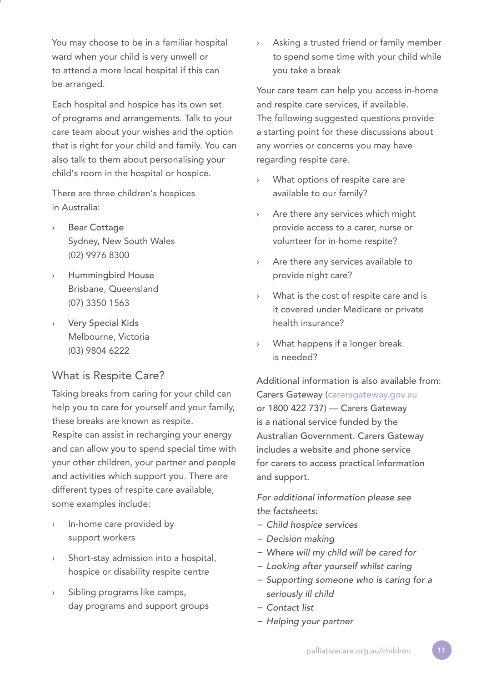You may choose to be in a familiar hospital ward when your child is very unwell or to attend a more local hospital if this can be arranged.

Each hospital and hospice has its own set of programs and arrangements. Talk to your care team about your wishes and the option that is right for your child and family. You can also talk to them about personalising your child's room in the hospital or hospice.

There are three children's hospices in Australia:

- **Bear Cottage** Sydney, New South Wales (02) 9976 8300
- **Hummingbird House** Brisbane, Queensland (07) 3350 1563
- **Very Special Kids** Melbourne, Victoria (03) 9804 6222

## What is Respite Care?

Taking breaks from caring for your child can help you to care for yourself and your family, these breaks are known as respite.

Respite can assist in recharging your energy and can allow you to spend special time with your other children, your partner and people and activities which support you. There are different types of respite care available, some examples include:

- › In-home care provided by support workers
- Short-stay admission into a hospital, hospice or disability respite centre
- Sibling programs like camps, day programs and support groups

› Asking a trusted friend or family member to spend some time with your child while you take a break

Your care team can help you access in-home and respite care services, if available. The following suggested questions provide a starting point for these discussions about any worries or concerns you may have regarding respite care.

- What options of respite care are available to our family?
- › Are there any services which might provide access to a carer, nurse or volunteer for in-home respite?
- › Are there any services available to provide night care?
- › What is the cost of respite care and is it covered under Medicare or private health insurance?
- What happens if a longer break is needed?

Additional information is also available from: Carers Gateway (carersgateway.gov.au or 1800 422 737) — Carers Gateway is a national service funded by the Australian Government. Carers Gateway includes a website and phone service for carers to access practical information and support.

*For additional information please see the factsheets:* 

- *− Child hospice services*
- *− Decision making*
- *− Where will my child will be cared for*
- *− Looking after yourself whilst caring*
- *− Supporting someone who is caring for a seriously ill child*
- *− Contact list*
- *− Helping your partner*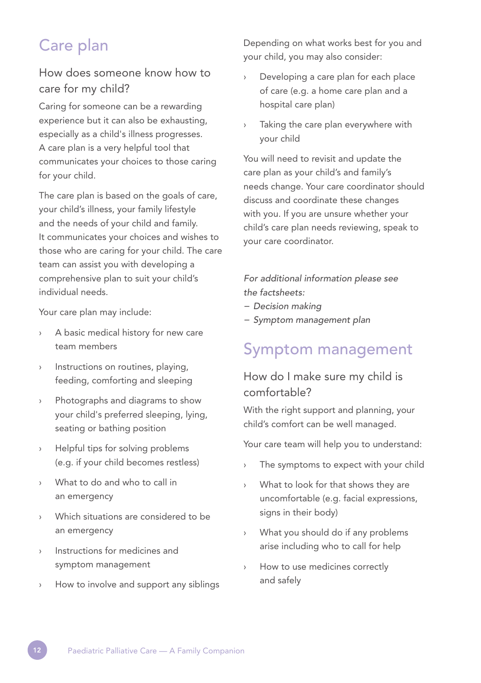# Care plan

# How does someone know how to care for my child?

Caring for someone can be a rewarding experience but it can also be exhausting, especially as a child's illness progresses. A care plan is a very helpful tool that communicates your choices to those caring for your child.

The care plan is based on the goals of care, your child's illness, your family lifestyle and the needs of your child and family. It communicates your choices and wishes to those who are caring for your child. The care team can assist you with developing a comprehensive plan to suit your child's individual needs.

Your care plan may include:

- › A basic medical history for new care team members
- › Instructions on routines, playing, feeding, comforting and sleeping
- Photographs and diagrams to show your child's preferred sleeping, lying, seating or bathing position
- Helpful tips for solving problems (e.g. if your child becomes restless)
- What to do and who to call in an emergency
- Which situations are considered to be an emergency
- Instructions for medicines and symptom management
- How to involve and support any siblings

Depending on what works best for you and your child, you may also consider:

- Developing a care plan for each place of care (e.g. a home care plan and a hospital care plan)
- Taking the care plan everywhere with your child

You will need to revisit and update the care plan as your child's and family's needs change. Your care coordinator should discuss and coordinate these changes with you. If you are unsure whether your child's care plan needs reviewing, speak to your care coordinator.

*For additional information please see the factsheets:* 

- *− Decision making*
- *− Symptom management plan*

# Symptom management

## How do I make sure my child is comfortable?

With the right support and planning, your child's comfort can be well managed.

Your care team will help you to understand:

- › The symptoms to expect with your child
- › What to look for that shows they are uncomfortable (e.g. facial expressions, signs in their body)
- › What you should do if any problems arise including who to call for help
- › How to use medicines correctly and safely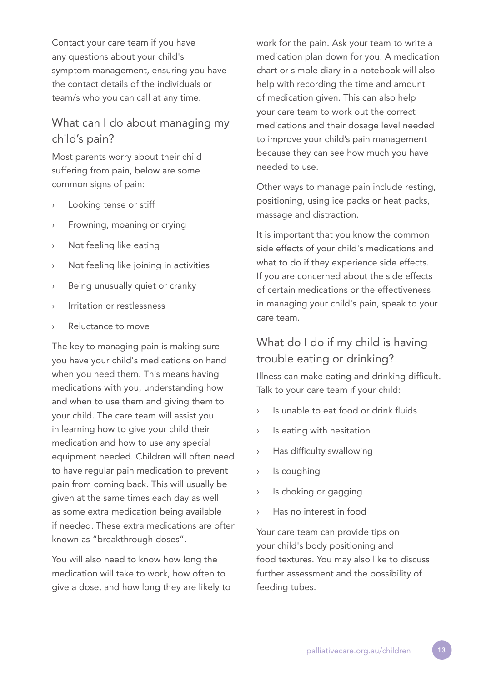Contact your care team if you have any questions about your child's symptom management, ensuring you have the contact details of the individuals or team/s who you can call at any time.

## What can I do about managing my child's pain?

Most parents worry about their child suffering from pain, below are some common signs of pain:

- › Looking tense or stiff
- Frowning, moaning or crying
- › Not feeling like eating
- › Not feeling like joining in activities
- › Being unusually quiet or cranky
- › Irritation or restlessness
- Reluctance to move

The key to managing pain is making sure you have your child's medications on hand when you need them. This means having medications with you, understanding how and when to use them and giving them to your child. The care team will assist you in learning how to give your child their medication and how to use any special equipment needed. Children will often need to have regular pain medication to prevent pain from coming back. This will usually be given at the same times each day as well as some extra medication being available if needed. These extra medications are often known as "breakthrough doses".

You will also need to know how long the medication will take to work, how often to give a dose, and how long they are likely to work for the pain. Ask your team to write a medication plan down for you. A medication chart or simple diary in a notebook will also help with recording the time and amount of medication given. This can also help your care team to work out the correct medications and their dosage level needed to improve your child's pain management because they can see how much you have needed to use.

Other ways to manage pain include resting, positioning, using ice packs or heat packs, massage and distraction.

It is important that you know the common side effects of your child's medications and what to do if they experience side effects. If you are concerned about the side effects of certain medications or the effectiveness in managing your child's pain, speak to your care team.

## What do I do if my child is having trouble eating or drinking?

Illness can make eating and drinking difficult. Talk to your care team if your child:

- Is unable to eat food or drink fluids
- › Is eating with hesitation
- › Has difficulty swallowing
- › Is coughing
- › Is choking or gagging
- Has no interest in food

Your care team can provide tips on your child's body positioning and food textures. You may also like to discuss further assessment and the possibility of feeding tubes.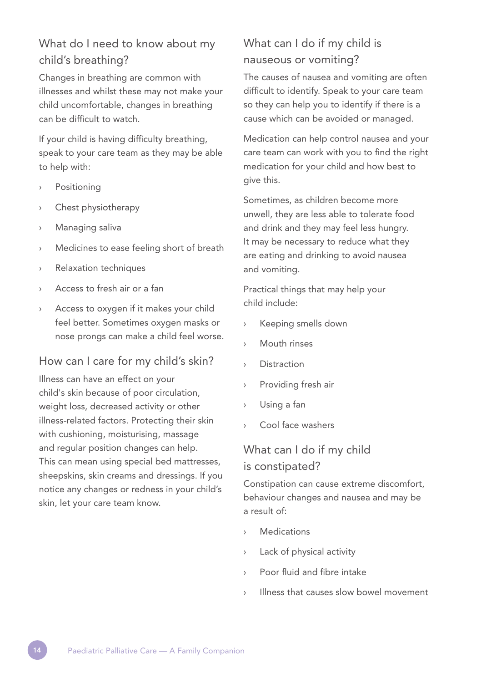# What do I need to know about my child's breathing?

Changes in breathing are common with illnesses and whilst these may not make your child uncomfortable, changes in breathing can be difficult to watch.

If your child is having difficulty breathing, speak to your care team as they may be able to help with:

- › Positioning
- › Chest physiotherapy
- Managing saliva
- › Medicines to ease feeling short of breath
- › Relaxation techniques
- Access to fresh air or a fan
- Access to oxygen if it makes your child feel better. Sometimes oxygen masks or nose prongs can make a child feel worse.

#### How can I care for my child's skin?

Illness can have an effect on your child's skin because of poor circulation, weight loss, decreased activity or other illness-related factors. Protecting their skin with cushioning, moisturising, massage and regular position changes can help. This can mean using special bed mattresses, sheepskins, skin creams and dressings. If you notice any changes or redness in your child's skin, let your care team know.

# What can I do if my child is nauseous or vomiting?

The causes of nausea and vomiting are often difficult to identify. Speak to your care team so they can help you to identify if there is a cause which can be avoided or managed.

Medication can help control nausea and your care team can work with you to find the right medication for your child and how best to give this.

Sometimes, as children become more unwell, they are less able to tolerate food and drink and they may feel less hungry. It may be necessary to reduce what they are eating and drinking to avoid nausea and vomiting.

Practical things that may help your child include:

- › Keeping smells down
- › Mouth rinses
- › Distraction
- › Providing fresh air
- › Using a fan
- Cool face washers

## What can I do if my child is constipated?

Constipation can cause extreme discomfort, behaviour changes and nausea and may be a result of:

- › Medications
- › Lack of physical activity
- › Poor fluid and fibre intake
- Illness that causes slow bowel movement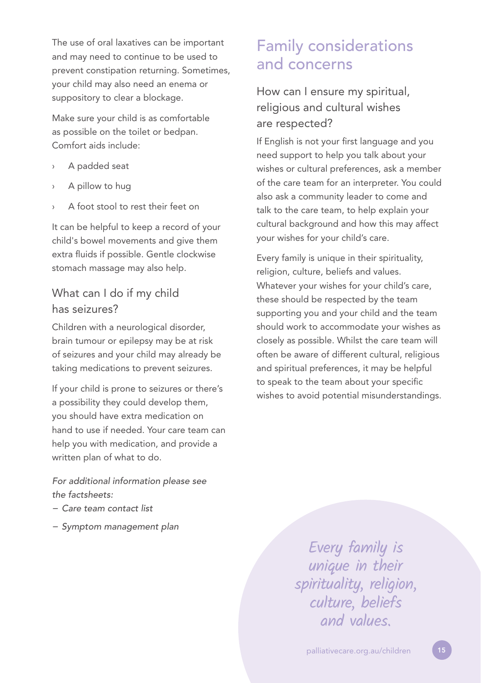The use of oral laxatives can be important and may need to continue to be used to prevent constipation returning. Sometimes, your child may also need an enema or suppository to clear a blockage.

Make sure your child is as comfortable as possible on the toilet or bedpan. Comfort aids include:

- A padded seat
- A pillow to hug
- A foot stool to rest their feet on

It can be helpful to keep a record of your child's bowel movements and give them extra fluids if possible. Gentle clockwise stomach massage may also help.

## What can I do if my child has seizures?

Children with a neurological disorder, brain tumour or epilepsy may be at risk of seizures and your child may already be taking medications to prevent seizures.

If your child is prone to seizures or there's a possibility they could develop them, you should have extra medication on hand to use if needed. Your care team can help you with medication, and provide a written plan of what to do.

#### *For additional information please see the factsheets:*

- *− Care team contact list*
- *− Symptom management plan*

# Family considerations and concerns

How can I ensure my spiritual, religious and cultural wishes are respected?

If English is not your first language and you need support to help you talk about your wishes or cultural preferences, ask a member of the care team for an interpreter. You could also ask a community leader to come and talk to the care team, to help explain your cultural background and how this may affect your wishes for your child's care.

Every family is unique in their spirituality, religion, culture, beliefs and values. Whatever your wishes for your child's care, these should be respected by the team supporting you and your child and the team should work to accommodate your wishes as closely as possible. Whilst the care team will often be aware of different cultural, religious and spiritual preferences, it may be helpful to speak to the team about your specific wishes to avoid potential misunderstandings.

> Every family is unique in their spirituality, religion, culture, beliefs and values.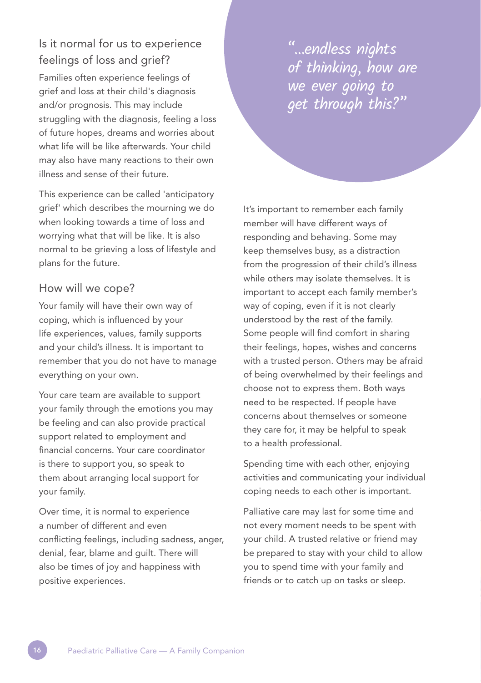# Is it normal for us to experience feelings of loss and grief?

Families often experience feelings of grief and loss at their child's diagnosis and/or prognosis. This may include struggling with the diagnosis, feeling a loss of future hopes, dreams and worries about what life will be like afterwards. Your child may also have many reactions to their own illness and sense of their future.

This experience can be called 'anticipatory grief' which describes the mourning we do when looking towards a time of loss and worrying what that will be like. It is also normal to be grieving a loss of lifestyle and plans for the future.

#### How will we cope?

Your family will have their own way of coping, which is influenced by your life experiences, values, family supports and your child's illness. It is important to remember that you do not have to manage everything on your own.

Your care team are available to support your family through the emotions you may be feeling and can also provide practical support related to employment and financial concerns. Your care coordinator is there to support you, so speak to them about arranging local support for your family.

Over time, it is normal to experience a number of different and even conflicting feelings, including sadness, anger, denial, fear, blame and guilt. There will also be times of joy and happiness with positive experiences.

"…endless nights of thinking, how are we ever going to get through this?"

It's important to remember each family member will have different ways of responding and behaving. Some may keep themselves busy, as a distraction from the progression of their child's illness while others may isolate themselves. It is important to accept each family member's way of coping, even if it is not clearly understood by the rest of the family. Some people will find comfort in sharing their feelings, hopes, wishes and concerns with a trusted person. Others may be afraid of being overwhelmed by their feelings and choose not to express them. Both ways need to be respected. If people have concerns about themselves or someone they care for, it may be helpful to speak to a health professional.

Spending time with each other, enjoying activities and communicating your individual coping needs to each other is important.

Palliative care may last for some time and not every moment needs to be spent with your child. A trusted relative or friend may be prepared to stay with your child to allow you to spend time with your family and friends or to catch up on tasks or sleep.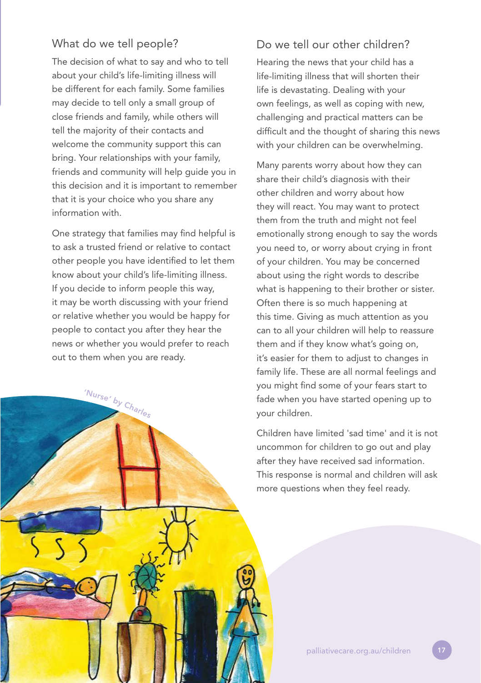### What do we tell people?

The decision of what to say and who to tell about your child's life-limiting illness will be different for each family. Some families may decide to tell only a small group of close friends and family, while others will tell the majority of their contacts and welcome the community support this can bring. Your relationships with your family, friends and community will help guide you in this decision and it is important to remember that it is your choice who you share any information with.

One strategy that families may find helpful is to ask a trusted friend or relative to contact other people you have identified to let them know about your child's life-limiting illness. If you decide to inform people this way, it may be worth discussing with your friend or relative whether you would be happy for people to contact you after they hear the news or whether you would prefer to reach out to them when you are ready.

'Nurse' <sup>b</sup><sup>y</sup> <sup>C</sup>harle<sup>s</sup>

### Do we tell our other children?

Hearing the news that your child has a life-limiting illness that will shorten their life is devastating. Dealing with your own feelings, as well as coping with new, challenging and practical matters can be difficult and the thought of sharing this news with your children can be overwhelming.

Many parents worry about how they can share their child's diagnosis with their other children and worry about how they will react. You may want to protect them from the truth and might not feel emotionally strong enough to say the words you need to, or worry about crying in front of your children. You may be concerned about using the right words to describe what is happening to their brother or sister. Often there is so much happening at this time. Giving as much attention as you can to all your children will help to reassure them and if they know what's going on, it's easier for them to adjust to changes in family life. These are all normal feelings and you might find some of your fears start to fade when you have started opening up to your children.

Children have limited 'sad time' and it is not uncommon for children to go out and play after they have received sad information. This response is normal and children will ask more questions when they feel ready.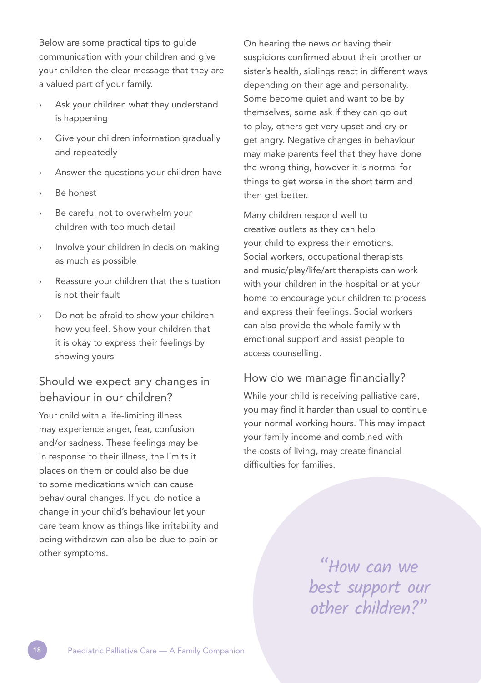Below are some practical tips to guide communication with your children and give your children the clear message that they are a valued part of your family.

- Ask your children what they understand is happening
- Give your children information gradually and repeatedly
- Answer the questions your children have
- Be honest
- Be careful not to overwhelm your children with too much detail
- Involve your children in decision making as much as possible
- Reassure your children that the situation is not their fault
- › Do not be afraid to show your children how you feel. Show your children that it is okay to express their feelings by showing yours

# Should we expect any changes in behaviour in our children?

Your child with a life-limiting illness may experience anger, fear, confusion and/or sadness. These feelings may be in response to their illness, the limits it places on them or could also be due to some medications which can cause behavioural changes. If you do notice a change in your child's behaviour let your care team know as things like irritability and being withdrawn can also be due to pain or other symptoms.

On hearing the news or having their suspicions confirmed about their brother or sister's health, siblings react in different ways depending on their age and personality. Some become quiet and want to be by themselves, some ask if they can go out to play, others get very upset and cry or get angry. Negative changes in behaviour may make parents feel that they have done the wrong thing, however it is normal for things to get worse in the short term and then aet better.

Many children respond well to creative outlets as they can help your child to express their emotions. Social workers, occupational therapists and music/play/life/art therapists can work with your children in the hospital or at your home to encourage your children to process and express their feelings. Social workers can also provide the whole family with emotional support and assist people to access counselling.

### How do we manage financially?

While your child is receiving palliative care, you may find it harder than usual to continue your normal working hours. This may impact your family income and combined with the costs of living, may create financial difficulties for families.

> "How can we best support our other children?"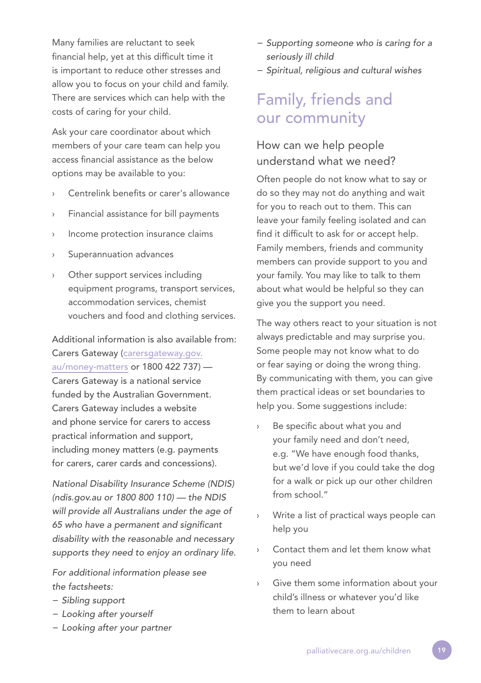Many families are reluctant to seek financial help, yet at this difficult time it is important to reduce other stresses and allow you to focus on your child and family. There are services which can help with the costs of caring for your child.

Ask your care coordinator about which members of your care team can help you access financial assistance as the below options may be available to you:

- Centrelink benefits or carer's allowance
- Financial assistance for bill payments
- › Income protection insurance claims
- Superannuation advances
- Other support services including equipment programs, transport services, accommodation services, chemist vouchers and food and clothing services.

Additional information is also available from: Carers Gateway (carersgateway.gov. au/money-matters or 1800 422 737) — Carers Gateway is a national service funded by the Australian Government. Carers Gateway includes a website and phone service for carers to access practical information and support, including money matters (e.g. payments for carers, carer cards and concessions).

*National Disability Insurance Scheme (NDIS) (ndis.gov.au or 1800 800 110) — the NDIS will provide all Australians under the age of 65 who have a permanent and significant disability with the reasonable and necessary supports they need to enjoy an ordinary life.*

*For additional information please see the factsheets:* 

- *− Sibling support*
- *− Looking after yourself*
- *− Looking after your partner*
- *− Supporting someone who is caring for a seriously ill child*
- *− Spiritual, religious and cultural wishes*

# Family, friends and our community

# How can we help people understand what we need?

Often people do not know what to say or do so they may not do anything and wait for you to reach out to them. This can leave your family feeling isolated and can find it difficult to ask for or accept help. Family members, friends and community members can provide support to you and your family. You may like to talk to them about what would be helpful so they can give you the support you need.

The way others react to your situation is not always predictable and may surprise you. Some people may not know what to do or fear saying or doing the wrong thing. By communicating with them, you can give them practical ideas or set boundaries to help you. Some suggestions include:

- Be specific about what you and your family need and don't need, e.g. "We have enough food thanks, but we'd love if you could take the dog for a walk or pick up our other children from school."
- Write a list of practical ways people can help you
- › Contact them and let them know what you need
- › Give them some information about your child's illness or whatever you'd like them to learn about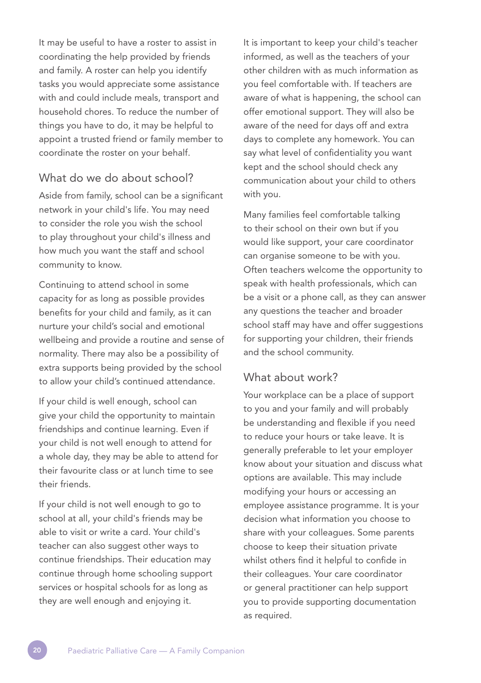It may be useful to have a roster to assist in coordinating the help provided by friends and family. A roster can help you identify tasks you would appreciate some assistance with and could include meals, transport and household chores. To reduce the number of things you have to do, it may be helpful to appoint a trusted friend or family member to coordinate the roster on your behalf.

#### What do we do about school?

Aside from family, school can be a significant network in your child's life. You may need to consider the role you wish the school to play throughout your child's illness and how much you want the staff and school community to know.

Continuing to attend school in some capacity for as long as possible provides benefits for your child and family, as it can nurture your child's social and emotional wellbeing and provide a routine and sense of normality. There may also be a possibility of extra supports being provided by the school to allow your child's continued attendance.

If your child is well enough, school can give your child the opportunity to maintain friendships and continue learning. Even if your child is not well enough to attend for a whole day, they may be able to attend for their favourite class or at lunch time to see their friends.

If your child is not well enough to go to school at all, your child's friends may be able to visit or write a card. Your child's teacher can also suggest other ways to continue friendships. Their education may continue through home schooling support services or hospital schools for as long as they are well enough and enjoying it.

It is important to keep your child's teacher informed, as well as the teachers of your other children with as much information as you feel comfortable with. If teachers are aware of what is happening, the school can offer emotional support. They will also be aware of the need for days off and extra days to complete any homework. You can say what level of confidentiality you want kept and the school should check any communication about your child to others with you.

Many families feel comfortable talking to their school on their own but if you would like support, your care coordinator can organise someone to be with you. Often teachers welcome the opportunity to speak with health professionals, which can be a visit or a phone call, as they can answer any questions the teacher and broader school staff may have and offer suggestions for supporting your children, their friends and the school community.

#### What about work?

Your workplace can be a place of support to you and your family and will probably be understanding and flexible if you need to reduce your hours or take leave. It is generally preferable to let your employer know about your situation and discuss what options are available. This may include modifying your hours or accessing an employee assistance programme. It is your decision what information you choose to share with your colleagues. Some parents choose to keep their situation private whilst others find it helpful to confide in their colleagues. Your care coordinator or general practitioner can help support you to provide supporting documentation as required.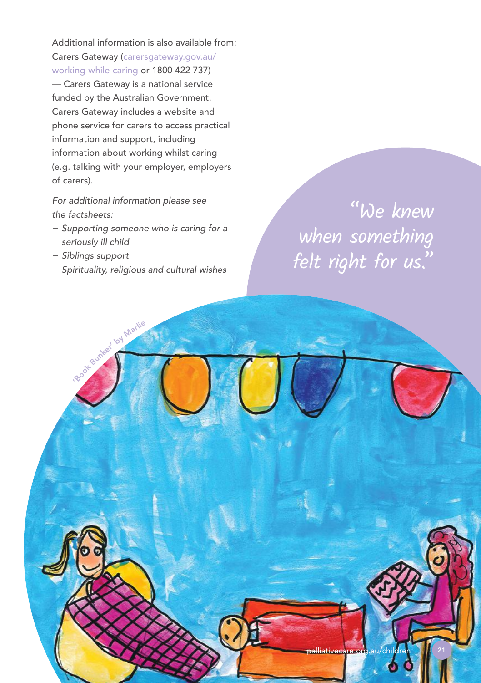Additional information is also available from: Carers Gateway (carersgateway.gov.au/ working-while-caring or 1800 422 737) — Carers Gateway is a national service funded by the Australian Government. Carers Gateway includes a website and phone service for carers to access practical information and support, including information about working whilst caring (e.g. talking with your employer, employers of carers).

*For additional information please see the factsheets:* 

- *− Supporting someone who is caring for a seriously ill child*
- *− Siblings support*

book Bunker' by Marlie

*− Spirituality, religious and cultural wishes* 

"We knew when something felt right for us."

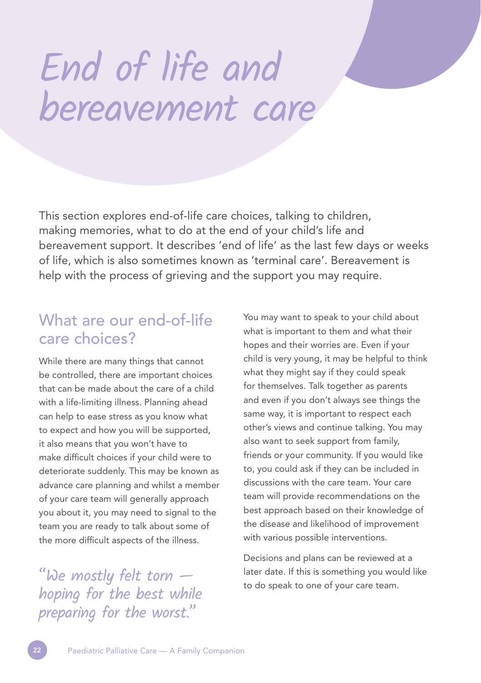# End of life and bereavement care

This section explores end-of-life care choices, talking to children, making memories, what to do at the end of your child's life and bereavement support. It describes 'end of life' as the last few days or weeks of life, which is also sometimes known as 'terminal care'. Bereavement is help with the process of grieving and the support you may require.

# What are our end-of-life care choices?

While there are many things that cannot be controlled, there are important choices that can be made about the care of a child with a life-limiting illness. Planning ahead can help to ease stress as you know what to expect and how you will be supported, it also means that you won't have to make difficult choices if your child were to deteriorate suddenly. This may be known as advance care planning and whilst a member of your care team will generally approach you about it, you may need to signal to the team you are ready to talk about some of the more difficult aspects of the illness.

 $\text{``We mostly felt torn --} \quad \text{``bce mostly few}}$  to do speak to one of your care team. hoping for the best while preparing for the worst."

You may want to speak to your child about what is important to them and what their hopes and their worries are. Even if your child is very young, it may be helpful to think what they might say if they could speak for themselves. Talk together as parents and even if you don't always see things the same way, it is important to respect each other's views and continue talking. You may also want to seek support from family, friends or your community. If you would like to, you could ask if they can be included in discussions with the care team. Your care team will provide recommendations on the best approach based on their knowledge of the disease and likelihood of improvement with various possible interventions.

Decisions and plans can be reviewed at a later date. If this is something you would like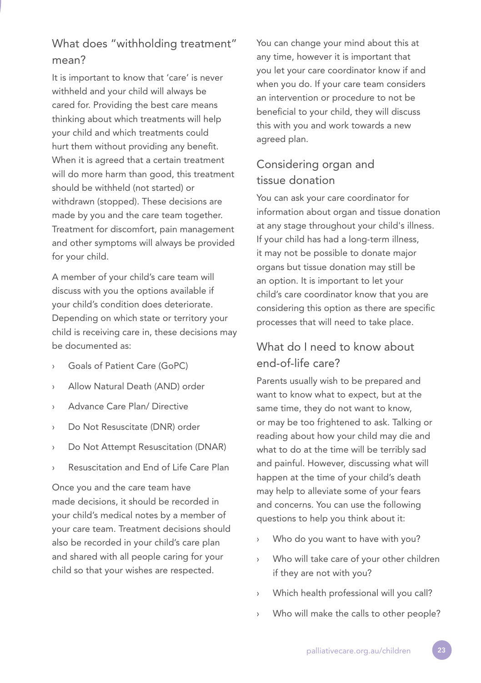# What does "withholding treatment" mean?

It is important to know that 'care' is never withheld and your child will always be cared for. Providing the best care means thinking about which treatments will help your child and which treatments could hurt them without providing any benefit. When it is agreed that a certain treatment will do more harm than good, this treatment should be withheld (not started) or withdrawn (stopped). These decisions are made by you and the care team together. Treatment for discomfort, pain management and other symptoms will always be provided for your child.

A member of your child's care team will discuss with you the options available if your child's condition does deteriorate. Depending on which state or territory your child is receiving care in, these decisions may be documented as:

- Goals of Patient Care (GoPC)
- Allow Natural Death (AND) order
- Advance Care Plan/ Directive
- Do Not Resuscitate (DNR) order
- Do Not Attempt Resuscitation (DNAR)
- Resuscitation and End of Life Care Plan

Once you and the care team have made decisions, it should be recorded in your child's medical notes by a member of your care team. Treatment decisions should also be recorded in your child's care plan and shared with all people caring for your child so that your wishes are respected.

You can change your mind about this at any time, however it is important that you let your care coordinator know if and when you do. If your care team considers an intervention or procedure to not be beneficial to your child, they will discuss this with you and work towards a new agreed plan.

# Considering organ and tissue donation

You can ask your care coordinator for information about organ and tissue donation at any stage throughout your child's illness. If your child has had a long-term illness, it may not be possible to donate major organs but tissue donation may still be an option. It is important to let your child's care coordinator know that you are considering this option as there are specific processes that will need to take place.

## What do I need to know about end-of-life care?

Parents usually wish to be prepared and want to know what to expect, but at the same time, they do not want to know, or may be too frightened to ask. Talking or reading about how your child may die and what to do at the time will be terribly sad and painful. However, discussing what will happen at the time of your child's death may help to alleviate some of your fears and concerns. You can use the following questions to help you think about it:

- Who do you want to have with you?
- Who will take care of your other children if they are not with you?
- › Which health professional will you call?
- › Who will make the calls to other people?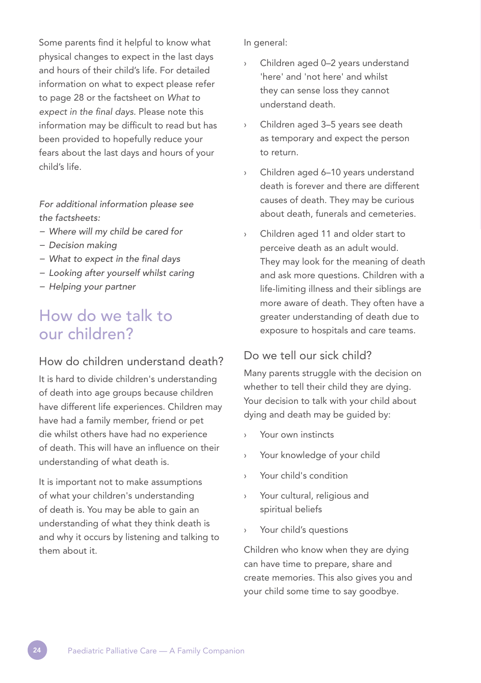Some parents find it helpful to know what physical changes to expect in the last days and hours of their child's life. For detailed information on what to expect please refer to page 28 or the factsheet on *What to expect in the final days.* Please note this information may be difficult to read but has been provided to hopefully reduce your fears about the last days and hours of your child's life.

*For additional information please see the factsheets:* 

- *− Where will my child be cared for*
- *− Decision making*
- *− What to expect in the final days*
- *− Looking after yourself whilst caring*
- *− Helping your partner*

# How do we talk to our children?

#### How do children understand death?

It is hard to divide children's understanding of death into age groups because children have different life experiences. Children may have had a family member, friend or pet die whilst others have had no experience of death. This will have an influence on their understanding of what death is.

It is important not to make assumptions of what your children's understanding of death is. You may be able to gain an understanding of what they think death is and why it occurs by listening and talking to them about it.

In general:

- Children aged 0-2 years understand 'here' and 'not here' and whilst they can sense loss they cannot understand death.
- › Children aged 3–5 years see death as temporary and expect the person to return.
- › Children aged 6–10 years understand death is forever and there are different causes of death. They may be curious about death, funerals and cemeteries.
- Children aged 11 and older start to perceive death as an adult would. They may look for the meaning of death and ask more questions. Children with a life-limiting illness and their siblings are more aware of death. They often have a greater understanding of death due to exposure to hospitals and care teams.

#### Do we tell our sick child?

Many parents struggle with the decision on whether to tell their child they are dying. Your decision to talk with your child about dying and death may be guided by:

- Your own instincts
- › Your knowledge of your child
- › Your child's condition
- Your cultural, religious and spiritual beliefs
- Your child's questions

Children who know when they are dying can have time to prepare, share and create memories. This also gives you and your child some time to say goodbye.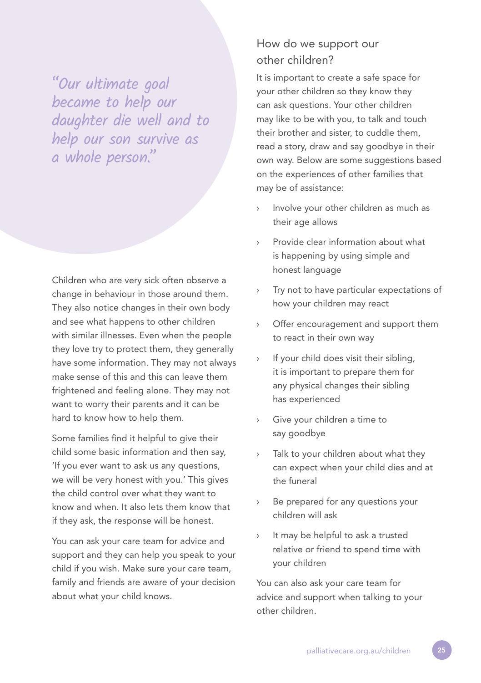"Our ultimate goal became to help our daughter die well and to help our son survive as a whole person."

Children who are very sick often observe a change in behaviour in those around them. They also notice changes in their own body and see what happens to other children with similar illnesses. Even when the people they love try to protect them, they generally have some information. They may not always make sense of this and this can leave them frightened and feeling alone. They may not want to worry their parents and it can be hard to know how to help them.

Some families find it helpful to give their child some basic information and then say, 'If you ever want to ask us any questions, we will be very honest with you.' This gives the child control over what they want to know and when. It also lets them know that if they ask, the response will be honest.

You can ask your care team for advice and support and they can help you speak to your child if you wish. Make sure your care team, family and friends are aware of your decision about what your child knows.

# How do we support our other children?

It is important to create a safe space for your other children so they know they can ask questions. Your other children may like to be with you, to talk and touch their brother and sister, to cuddle them, read a story, draw and say goodbye in their own way. Below are some suggestions based on the experiences of other families that may be of assistance:

- Involve your other children as much as their age allows
- › Provide clear information about what is happening by using simple and honest language
- Try not to have particular expectations of how your children may react
- › Offer encouragement and support them to react in their own way
- › If your child does visit their sibling, it is important to prepare them for any physical changes their sibling has experienced
- Give your children a time to say goodbye
- Talk to your children about what they can expect when your child dies and at the funeral
- Be prepared for any questions your children will ask
- › It may be helpful to ask a trusted relative or friend to spend time with your children

You can also ask your care team for advice and support when talking to your other children.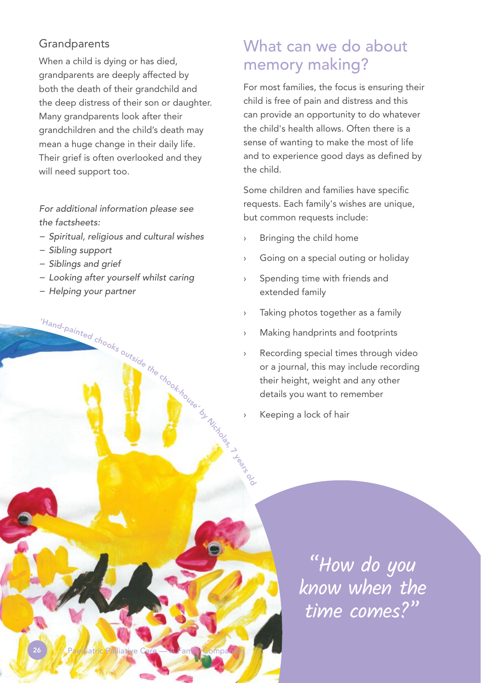## Grandparents

When a child is dying or has died, grandparents are deeply affected by both the death of their grandchild and the deep distress of their son or daughter. Many grandparents look after their grandchildren and the child's death may mean a huge change in their daily life. Their grief is often overlooked and they will need support too.

*For additional information please see the factsheets:* 

- *− Spiritual, religious and cultural wishes*
- *− Sibling support*
- *− Siblings and grief*
- *− Looking after yourself whilst caring*

'Hand-painted chooks outside the chook-house.

26 **Paediatric Palliative Care — A Family Companion** 

*− Helping your partner* 

# What can we do about memory making?

For most families, the focus is ensuring their child is free of pain and distress and this can provide an opportunity to do whatever the child's health allows. Often there is a sense of wanting to make the most of life and to experience good days as defined by the child.

Some children and families have specific requests. Each family's wishes are unique, but common requests include:

- › Bringing the child home
- › Going on a special outing or holiday
- › Spending time with friends and extended family
- › Taking photos together as a family
- Making handprints and footprints
- Recording special times through video or a journal, this may include recording their height, weight and any other details you want to remember
- Keeping a lock of hair

**by Nicholas** 

years ९<br>०

> "How do you know when the time comes?"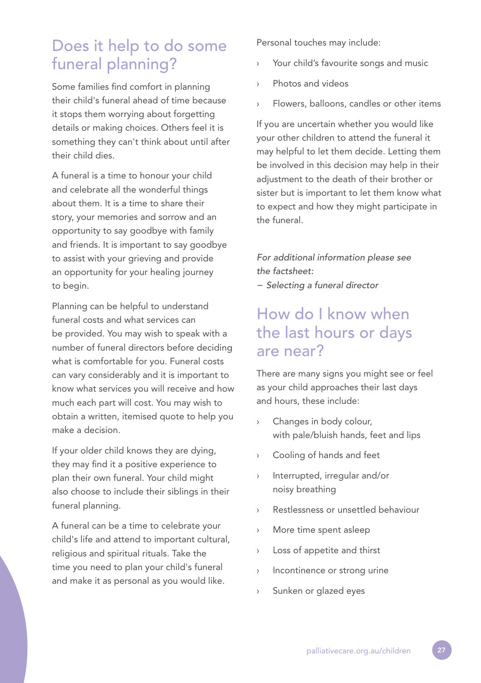# Does it help to do some funeral planning?

Some families find comfort in planning their child's funeral ahead of time because it stops them worrying about forgetting details or making choices. Others feel it is something they can't think about until after their child dies.

A funeral is a time to honour your child and celebrate all the wonderful things about them. It is a time to share their story, your memories and sorrow and an opportunity to say goodbye with family and friends. It is important to say goodbye to assist with your grieving and provide an opportunity for your healing journey to begin.

Planning can be helpful to understand funeral costs and what services can be provided. You may wish to speak with a number of funeral directors before deciding what is comfortable for you. Funeral costs can vary considerably and it is important to know what services you will receive and how much each part will cost. You may wish to obtain a written, itemised quote to help you make a decision.

If your older child knows they are dying, they may find it a positive experience to plan their own funeral. Your child might also choose to include their siblings in their funeral planning.

A funeral can be a time to celebrate your child's life and attend to important cultural, religious and spiritual rituals. Take the time you need to plan your child's funeral and make it as personal as you would like.

Personal touches may include:

- Your child's favourite songs and music
- Photos and videos
- Flowers, balloons, candles or other items

If you are uncertain whether you would like your other children to attend the funeral it may helpful to let them decide. Letting them be involved in this decision may help in their adjustment to the death of their brother or sister but is important to let them know what to expect and how they might participate in the funeral.

*For additional information please see the factsheet:* 

*− Selecting a funeral director*

# How do I know when the last hours or days are near?

There are many signs you might see or feel as your child approaches their last days and hours, these include:

- Changes in body colour, with pale/bluish hands, feet and lips
- › Cooling of hands and feet
- › Interrupted, irregular and/or noisy breathing
- › Restlessness or unsettled behaviour
- › More time spent asleep
- › Loss of appetite and thirst
- › Incontinence or strong urine
- Sunken or glazed eyes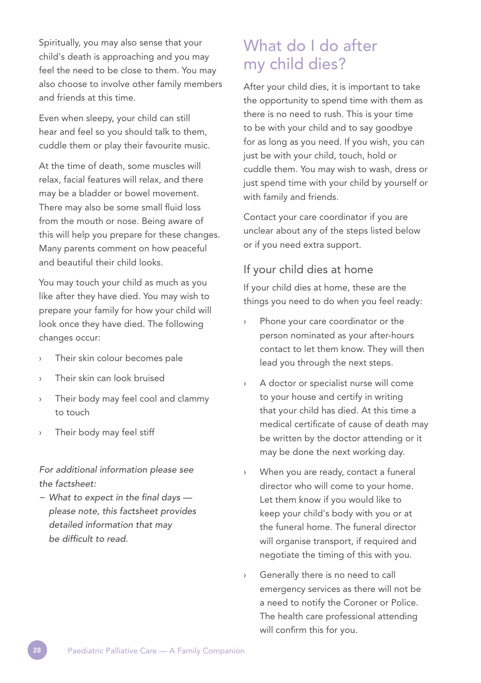Spiritually, you may also sense that your child's death is approaching and you may feel the need to be close to them. You may also choose to involve other family members and friends at this time.

Even when sleepy, your child can still hear and feel so you should talk to them, cuddle them or play their favourite music.

At the time of death, some muscles will relax, facial features will relax, and there may be a bladder or bowel movement. There may also be some small fluid loss from the mouth or nose. Being aware of this will help you prepare for these changes. Many parents comment on how peaceful and beautiful their child looks.

You may touch your child as much as you like after they have died. You may wish to prepare your family for how your child will look once they have died. The following changes occur:

- › Their skin colour becomes pale
- Their skin can look bruised
- › Their body may feel cool and clammy to touch
- Their body may feel stiff

#### *For additional information please see the factsheet:*

*− What to expect in the final days please note, this factsheet provides detailed information that may be difficult to read.*

# What do I do after my child dies?

After your child dies, it is important to take the opportunity to spend time with them as there is no need to rush. This is your time to be with your child and to say goodbye for as long as you need. If you wish, you can just be with your child, touch, hold or cuddle them. You may wish to wash, dress or just spend time with your child by yourself or with family and friends.

Contact your care coordinator if you are unclear about any of the steps listed below or if you need extra support.

#### If your child dies at home

If your child dies at home, these are the things you need to do when you feel ready:

- Phone your care coordinator or the person nominated as your after-hours contact to let them know. They will then lead you through the next steps.
- › A doctor or specialist nurse will come to your house and certify in writing that your child has died. At this time a medical certificate of cause of death may be written by the doctor attending or it may be done the next working day.
- When you are ready, contact a funeral director who will come to your home. Let them know if you would like to keep your child's body with you or at the funeral home. The funeral director will organise transport, if required and negotiate the timing of this with you.
- Generally there is no need to call emergency services as there will not be a need to notify the Coroner or Police. The health care professional attending will confirm this for you.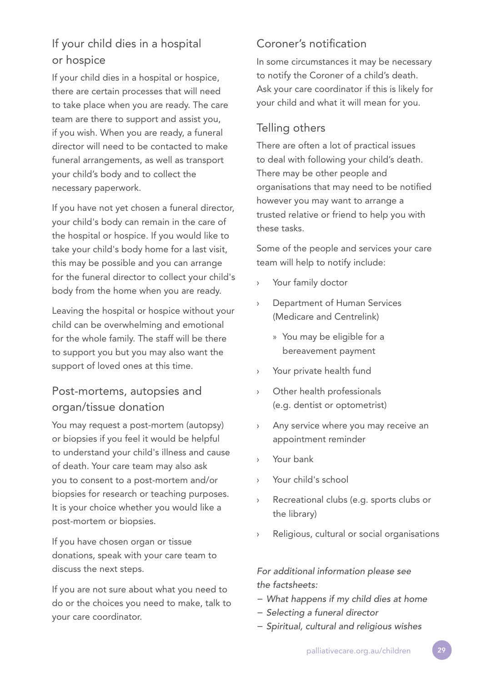# If your child dies in a hospital or hospice

If your child dies in a hospital or hospice, there are certain processes that will need to take place when you are ready. The care team are there to support and assist you, if you wish. When you are ready, a funeral director will need to be contacted to make funeral arrangements, as well as transport your child's body and to collect the necessary paperwork.

If you have not yet chosen a funeral director, your child's body can remain in the care of the hospital or hospice. If you would like to take your child's body home for a last visit, this may be possible and you can arrange for the funeral director to collect your child's body from the home when you are ready.

Leaving the hospital or hospice without your child can be overwhelming and emotional for the whole family. The staff will be there to support you but you may also want the support of loved ones at this time.

# Post-mortems, autopsies and organ/tissue donation

You may request a post-mortem (autopsy) or biopsies if you feel it would be helpful to understand your child's illness and cause of death. Your care team may also ask you to consent to a post-mortem and/or biopsies for research or teaching purposes. It is your choice whether you would like a post-mortem or biopsies.

If you have chosen organ or tissue donations, speak with your care team to discuss the next steps.

If you are not sure about what you need to do or the choices you need to make, talk to your care coordinator.

# Coroner's notification

In some circumstances it may be necessary to notify the Coroner of a child's death. Ask your care coordinator if this is likely for your child and what it will mean for you.

## Telling others

There are often a lot of practical issues to deal with following your child's death. There may be other people and organisations that may need to be notified however you may want to arrange a trusted relative or friend to help you with these tasks.

Some of the people and services your care team will help to notify include:

- Your family doctor
- Department of Human Services (Medicare and Centrelink)
	- » You may be eligible for a bereavement payment
- › Your private health fund
- › Other health professionals (e.g. dentist or optometrist)
- › Any service where you may receive an appointment reminder
- › Your bank
- › Your child's school
- Recreational clubs (e.g. sports clubs or the library)
- › Religious, cultural or social organisations

*For additional information please see the factsheets:* 

- *− What happens if my child dies at home*
- *− Selecting a funeral director*
- *− Spiritual, cultural and religious wishes*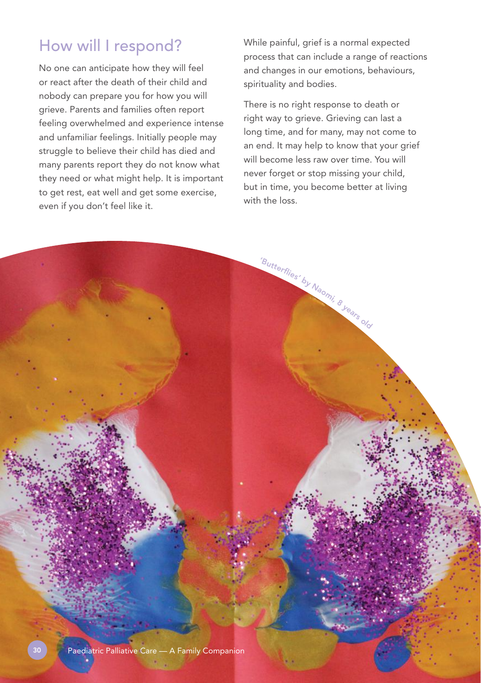# How will I respond?

No one can anticipate how they will feel or react after the death of their child and nobody can prepare you for how you will grieve. Parents and families often report feeling overwhelmed and experience intense and unfamiliar feelings. Initially people may struggle to believe their child has died and many parents report they do not know what they need or what might help. It is important to get rest, eat well and get some exercise, even if you don't feel like it.

While painful, grief is a normal expected process that can include a range of reactions and changes in our emotions, behaviours, spirituality and bodies.

There is no right response to death or right way to grieve. Grieving can last a long time, and for many, may not come to an end. It may help to know that your grief will become less raw over time. You will never forget or stop missing your child, but in time, you become better at living with the loss.

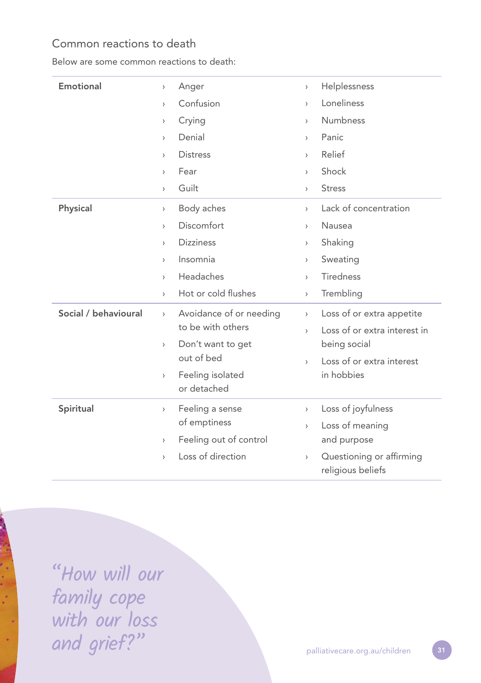## Common reactions to death

Below are some common reactions to death:

| Emotional            | Anger<br>$\,$                                                   | Helplessness<br>$\,$                                                          |
|----------------------|-----------------------------------------------------------------|-------------------------------------------------------------------------------|
|                      | Confusion<br>$\left\langle \right\rangle$                       | Loneliness<br>$\left\langle \right\rangle$                                    |
|                      | Crying<br>>                                                     | Numbness<br>$\,$                                                              |
|                      | Denial<br>$\mathcal{E}$                                         | Panic<br>$\rightarrow$                                                        |
|                      | <b>Distress</b><br>$\mathcal{E}$                                | Relief<br>$\left\langle \right\rangle$                                        |
|                      | Fear<br>$\mathcal{E}$                                           | Shock<br>$\left\langle \right\rangle$                                         |
|                      | Guilt<br>$\mathcal{E}$                                          | <b>Stress</b><br>$\rightarrow$                                                |
| Physical             | Body aches<br>$\,$                                              | Lack of concentration<br>$\rightarrow$                                        |
|                      | Discomfort<br>$\mathcal{E}$                                     | Nausea<br>$\left\langle \right\rangle$                                        |
|                      | <b>Dizziness</b><br>$\mathcal{E}$                               | Shaking<br>$\rightarrow$                                                      |
|                      | Insomnia<br>$\left\langle \right\rangle$                        | Sweating<br>$\,$                                                              |
|                      | Headaches<br>$\mathcal{E}$                                      | <b>Tiredness</b><br>$\rightarrow$                                             |
|                      | Hot or cold flushes<br>$\left( \right)$                         | Trembling<br>$\,$                                                             |
| Social / behavioural | Avoidance of or needing<br>$\left\langle \right\rangle$         | Loss of or extra appetite<br>$\left( \right)$                                 |
|                      | to be with others                                               | Loss of or extra interest in<br>$\mathcal{E}$                                 |
|                      | Don't want to get<br>>                                          | being social                                                                  |
|                      | out of bed                                                      | Loss of or extra interest<br>$\mathbf{r}$                                     |
|                      | Feeling isolated<br>$\left\langle \right\rangle$<br>or detached | in hobbies                                                                    |
| Spiritual            | Feeling a sense<br>$\left\langle \right\rangle$                 | Loss of joyfulness<br>$\,$                                                    |
|                      | of emptiness                                                    | Loss of meaning<br>$\left\langle \right\rangle$                               |
|                      | Feeling out of control<br>$\left( \right)$                      | and purpose                                                                   |
|                      | Loss of direction<br>$\mathcal{E}$                              | Questioning or affirming<br>$\left\langle \right\rangle$<br>religious beliefs |

"How will our J. family cope with our loss and grief?"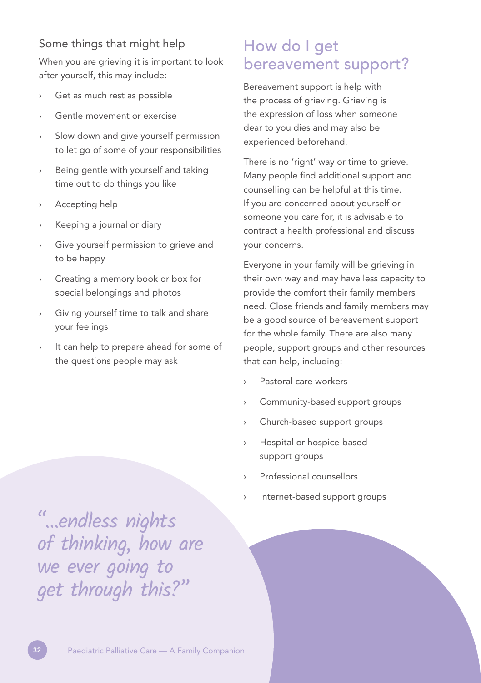## Some things that might help

When you are grieving it is important to look after yourself, this may include:

- › Get as much rest as possible
- Gentle movement or exercise
- › Slow down and give yourself permission to let go of some of your responsibilities
- › Being gentle with yourself and taking time out to do things you like
- › Accepting help
- Keeping a journal or diary
- Give yourself permission to grieve and to be happy
- › Creating a memory book or box for special belongings and photos
- › Giving yourself time to talk and share your feelings
- It can help to prepare ahead for some of the questions people may ask

# How do I get bereavement support?

Bereavement support is help with the process of grieving. Grieving is the expression of loss when someone dear to you dies and may also be experienced beforehand.

There is no 'right' way or time to grieve. Many people find additional support and counselling can be helpful at this time. If you are concerned about yourself or someone you care for, it is advisable to contract a health professional and discuss your concerns.

Everyone in your family will be grieving in their own way and may have less capacity to provide the comfort their family members need. Close friends and family members may be a good source of bereavement support for the whole family. There are also many people, support groups and other resources that can help, including:

- Pastoral care workers
- › Community-based support groups
- › Church-based support groups
- › Hospital or hospice-based support groups
- › Professional counsellors
- Internet-based support groups

"…endless nights of thinking, how are we ever going to get through this?"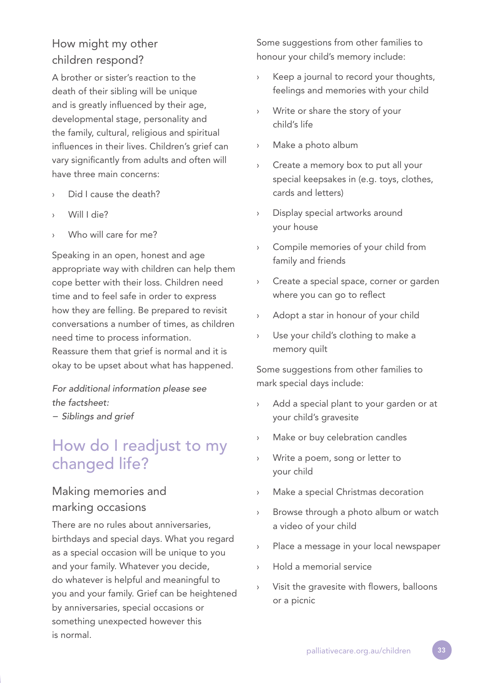# How might my other children respond?

A brother or sister's reaction to the death of their sibling will be unique and is greatly influenced by their age, developmental stage, personality and the family, cultural, religious and spiritual influences in their lives. Children's grief can vary significantly from adults and often will have three main concerns:

- Did I cause the death?
- › Will I die?
- Who will care for me?

Speaking in an open, honest and age appropriate way with children can help them cope better with their loss. Children need time and to feel safe in order to express how they are felling. Be prepared to revisit conversations a number of times, as children need time to process information. Reassure them that grief is normal and it is okay to be upset about what has happened.

*For additional information please see the factsheet: − Siblings and grief*

# How do I readjust to my changed life?

## Making memories and marking occasions

There are no rules about anniversaries, birthdays and special days. What you regard as a special occasion will be unique to you and your family. Whatever you decide, do whatever is helpful and meaningful to you and your family. Grief can be heightened by anniversaries, special occasions or something unexpected however this is normal.

Some suggestions from other families to honour your child's memory include:

- Keep a journal to record your thoughts, feelings and memories with your child
- Write or share the story of your child's life
- Make a photo album
- Create a memory box to put all your special keepsakes in (e.g. toys, clothes, cards and letters)
- Display special artworks around your house
- Compile memories of your child from family and friends
- › Create a special space, corner or garden where you can go to reflect
- › Adopt a star in honour of your child
- › Use your child's clothing to make a memory quilt

Some suggestions from other families to mark special days include:

- Add a special plant to your garden or at your child's gravesite
- Make or buy celebration candles
- Write a poem, song or letter to your child
- Make a special Christmas decoration
- › Browse through a photo album or watch a video of your child
- › Place a message in your local newspaper
- Hold a memorial service
- Visit the gravesite with flowers, balloons or a picnic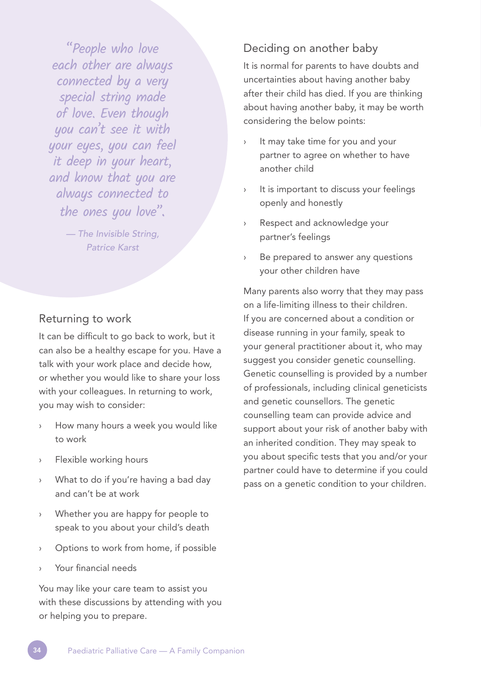"People who love each other are always connected by a very special string made of love. Even though you can't see it with your eyes, you can feel it deep in your heart, and know that you are always connected to the ones you love".

> *— The Invisible String, Patrice Karst*

## Returning to work

It can be difficult to go back to work, but it can also be a healthy escape for you. Have a talk with your work place and decide how, or whether you would like to share your loss with your colleagues. In returning to work, you may wish to consider:

- How many hours a week you would like to work
- › Flexible working hours
- What to do if you're having a bad day and can't be at work
- Whether you are happy for people to speak to you about your child's death
- Options to work from home, if possible
- › Your financial needs

You may like your care team to assist you with these discussions by attending with you or helping you to prepare.

#### Deciding on another baby

It is normal for parents to have doubts and uncertainties about having another baby after their child has died. If you are thinking about having another baby, it may be worth considering the below points:

- It may take time for you and your partner to agree on whether to have another child
- › It is important to discuss your feelings openly and honestly
- › Respect and acknowledge your partner's feelings
- Be prepared to answer any questions your other children have

Many parents also worry that they may pass on a life-limiting illness to their children. If you are concerned about a condition or disease running in your family, speak to your general practitioner about it, who may suggest you consider genetic counselling. Genetic counselling is provided by a number of professionals, including clinical geneticists and genetic counsellors. The genetic counselling team can provide advice and support about your risk of another baby with an inherited condition. They may speak to you about specific tests that you and/or your partner could have to determine if you could pass on a genetic condition to your children.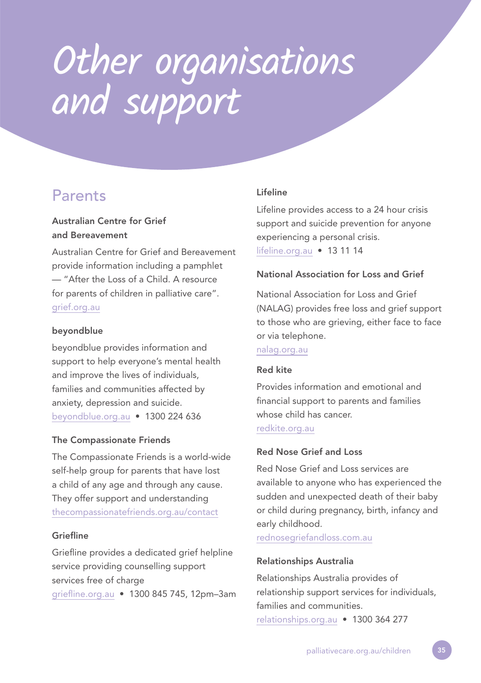# Other organisations and support

# **Parents**

#### Australian Centre for Grief and Bereavement

Australian Centre for Grief and Bereavement provide information including a pamphlet — "After the Loss of a Child. A resource for parents of children in palliative care". grief.org.au

#### beyondblue

beyondblue provides information and support to help everyone's mental health and improve the lives of individuals, families and communities affected by anxiety, depression and suicide. beyondblue.org.au • 1300 224 636

#### The Compassionate Friends

The Compassionate Friends is a world-wide self-help group for parents that have lost a child of any age and through any cause. They offer support and understanding thecompassionatefriends.org.au/contact

#### Griefline

Griefline provides a dedicated grief helpline service providing counselling support services free of charge griefline.org.au • 1300 845 745, 12pm–3am

#### Lifeline

Lifeline provides access to a 24 hour crisis support and suicide prevention for anyone experiencing a personal crisis. lifeline.org.au • 13 11 14

#### National Association for Loss and Grief

National Association for Loss and Grief (NALAG) provides free loss and grief support to those who are grieving, either face to face or via telephone.

nalag.org.au

#### Red kite

Provides information and emotional and financial support to parents and families whose child has cancer.

redkite.org.au

#### Red Nose Grief and Loss

Red Nose Grief and Loss services are available to anyone who has experienced the sudden and unexpected death of their baby or child during pregnancy, birth, infancy and early childhood.

rednosegriefandloss.com.au

#### Relationships Australia

Relationships Australia provides of relationship support services for individuals, families and communities. relationships.org.au • 1300 364 277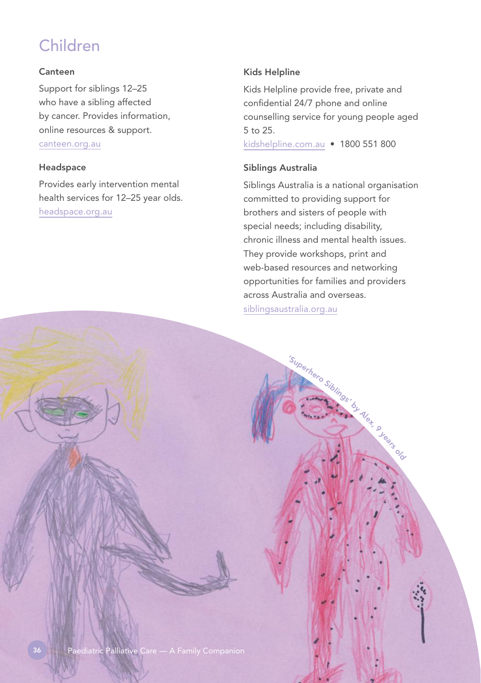# Children

#### Canteen

Support for siblings 12–25 who have a sibling affected by cancer. Provides information, online resources & support. canteen.org.au

#### Headspace

Provides early intervention mental health services for 12–25 year olds. headspace.org.au

#### Kids Helpline

Kids Helpline provide free, private and confidential 24/7 phone and online counselling service for young people aged 5 to 25.

kidshelpline.com.au • 1800 551 800

#### Siblings Australia

Siblings Australia is a national organisation committed to providing support for brothers and sisters of people with special needs; including disability, chronic illness and mental health issues. They provide workshops, print and web-based resources and networking opportunities for families and providers across Australia and overseas. siblingsaustralia.org.au

'S<sup>u</sup>pe<sup>r</sup>her<sup>o</sup> <sup>S</sup>ib<sup>l</sup>ings'

by Alex, 9 years old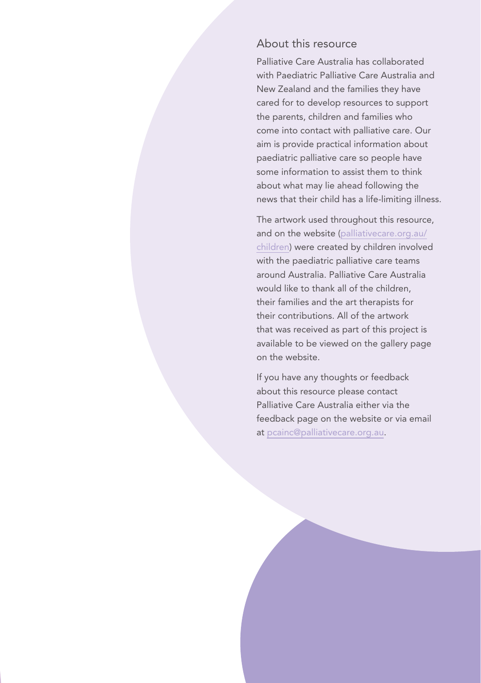#### About this resource

Palliative Care Australia has collaborated with Paediatric Palliative Care Australia and New Zealand and the families they have cared for to develop resources to support the parents, children and families who come into contact with palliative care. Our aim is provide practical information about paediatric palliative care so people have some information to assist them to think about what may lie ahead following the news that their child has a life-limiting illness.

The artwork used throughout this resource, and on the website (palliativecare.org.au/ children) were created by children involved with the paediatric palliative care teams around Australia. Palliative Care Australia would like to thank all of the children, their families and the art therapists for their contributions. All of the artwork that was received as part of this project is available to be viewed on the gallery page on the website.

If you have any thoughts or feedback about this resource please contact Palliative Care Australia either via the feedback page on the website or via email at pcainc@palliativecare.org.au.